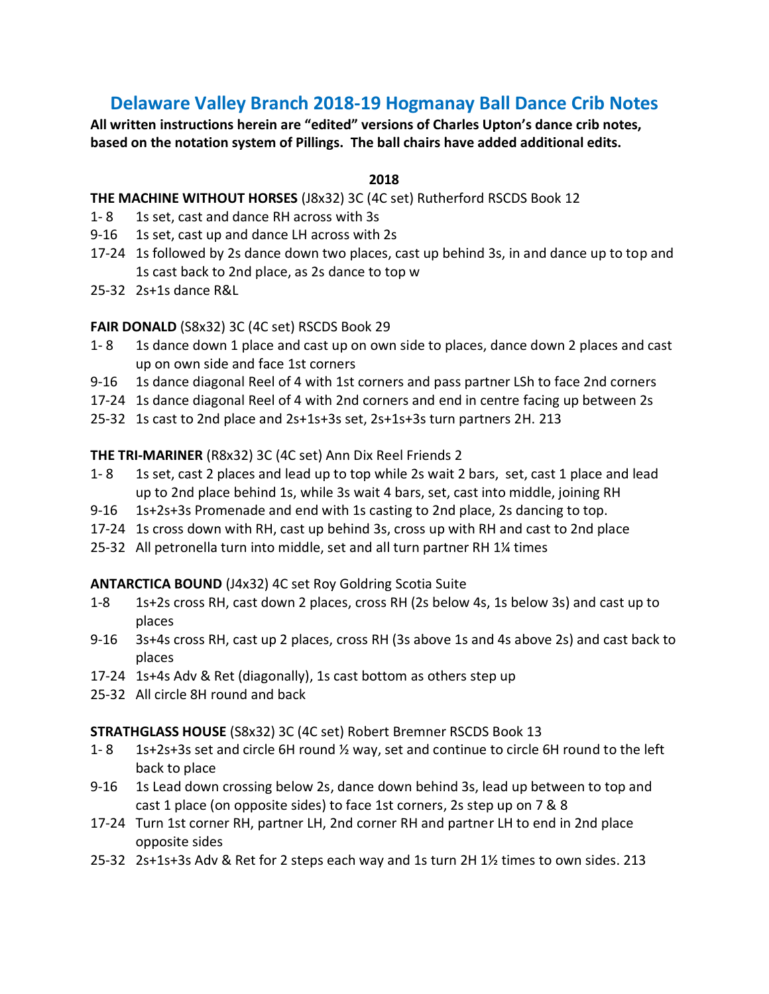# **Delaware Valley Branch 2018-19 Hogmanay Ball Dance Crib Notes**

**All written instructions herein are "edited" versions of Charles Upton's dance crib notes, based on the notation system of Pillings. The ball chairs have added additional edits.**

#### **2018**

#### **THE MACHINE WITHOUT HORSES** (J8x32) 3C (4C set) Rutherford RSCDS Book 12

- 1- 8 1s set, cast and dance RH across with 3s
- 9-16 1s set, cast up and dance LH across with 2s
- 17-24 1s followed by 2s dance down two places, cast up behind 3s, in and dance up to top and 1s cast back to 2nd place, as 2s dance to top w
- 25-32 2s+1s dance R&L

#### **FAIR DONALD** (S8x32) 3C (4C set) RSCDS Book 29

- 1- 8 1s dance down 1 place and cast up on own side to places, dance down 2 places and cast up on own side and face 1st corners
- 9-16 1s dance diagonal Reel of 4 with 1st corners and pass partner LSh to face 2nd corners
- 17-24 1s dance diagonal Reel of 4 with 2nd corners and end in centre facing up between 2s
- 25-32 1s cast to 2nd place and 2s+1s+3s set, 2s+1s+3s turn partners 2H. 213

#### **THE TRI-MARINER** (R8x32) 3C (4C set) Ann Dix Reel Friends 2

- 1- 8 1s set, cast 2 places and lead up to top while 2s wait 2 bars, set, cast 1 place and lead up to 2nd place behind 1s, while 3s wait 4 bars, set, cast into middle, joining RH
- 9-16 1s+2s+3s Promenade and end with 1s casting to 2nd place, 2s dancing to top.
- 17-24 1s cross down with RH, cast up behind 3s, cross up with RH and cast to 2nd place
- 25-32 All petronella turn into middle, set and all turn partner RH 1¼ times

## **ANTARCTICA BOUND** (J4x32) 4C set Roy Goldring Scotia Suite

- 1-8 1s+2s cross RH, cast down 2 places, cross RH (2s below 4s, 1s below 3s) and cast up to places
- 9-16 3s+4s cross RH, cast up 2 places, cross RH (3s above 1s and 4s above 2s) and cast back to places
- 17-24 1s+4s Adv & Ret (diagonally), 1s cast bottom as others step up
- 25-32 All circle 8H round and back

## **STRATHGLASS HOUSE** (S8x32) 3C (4C set) Robert Bremner RSCDS Book 13

- 1-8 1s+2s+3s set and circle 6H round  $\frac{1}{2}$  way, set and continue to circle 6H round to the left back to place
- 9-16 1s Lead down crossing below 2s, dance down behind 3s, lead up between to top and cast 1 place (on opposite sides) to face 1st corners, 2s step up on 7 & 8
- 17-24 Turn 1st corner RH, partner LH, 2nd corner RH and partner LH to end in 2nd place opposite sides
- 25-32 2s+1s+3s Adv & Ret for 2 steps each way and 1s turn 2H 1½ times to own sides. 213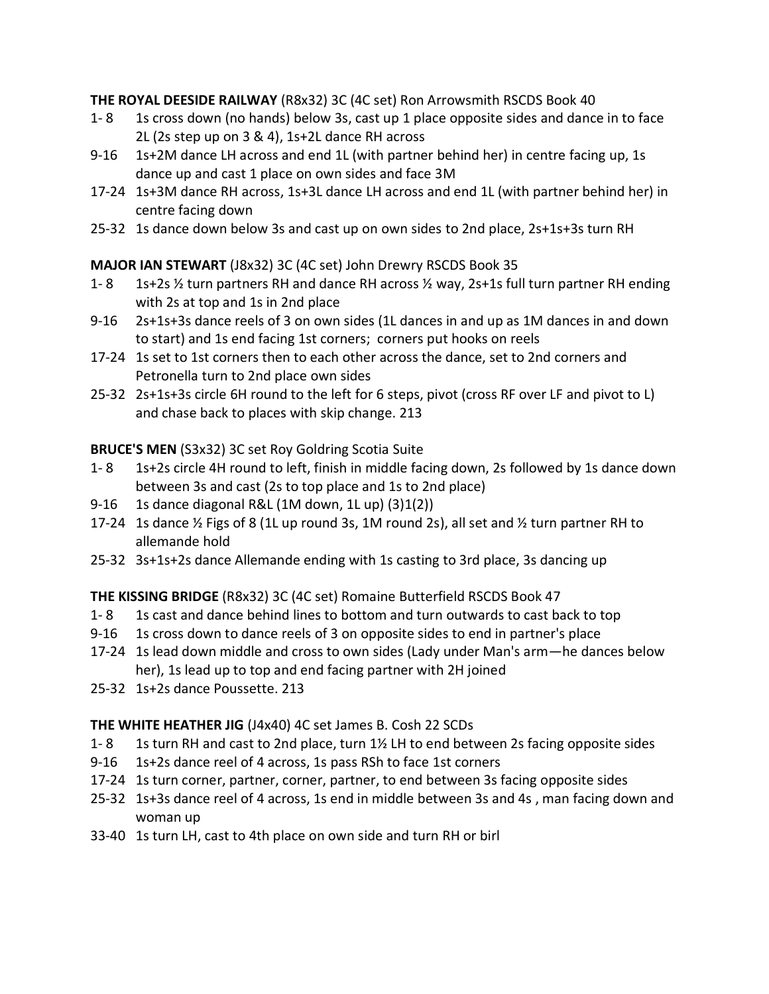**THE ROYAL DEESIDE RAILWAY** (R8x32) 3C (4C set) Ron Arrowsmith RSCDS Book 40

- 1- 8 1s cross down (no hands) below 3s, cast up 1 place opposite sides and dance in to face 2L (2s step up on 3 & 4), 1s+2L dance RH across
- 9-16 1s+2M dance LH across and end 1L (with partner behind her) in centre facing up, 1s dance up and cast 1 place on own sides and face 3M
- 17-24 1s+3M dance RH across, 1s+3L dance LH across and end 1L (with partner behind her) in centre facing down
- 25-32 1s dance down below 3s and cast up on own sides to 2nd place, 2s+1s+3s turn RH

# **MAJOR IAN STEWART** (J8x32) 3C (4C set) John Drewry RSCDS Book 35

- 1- 8 1s+2s  $\frac{1}{2}$  turn partners RH and dance RH across  $\frac{1}{2}$  way, 2s+1s full turn partner RH ending with 2s at top and 1s in 2nd place
- 9-16 2s+1s+3s dance reels of 3 on own sides (1L dances in and up as 1M dances in and down to start) and 1s end facing 1st corners; corners put hooks on reels
- 17-24 1s set to 1st corners then to each other across the dance, set to 2nd corners and Petronella turn to 2nd place own sides
- 25-32 2s+1s+3s circle 6H round to the left for 6 steps, pivot (cross RF over LF and pivot to L) and chase back to places with skip change. 213

# **BRUCE'S MEN** (S3x32) 3C set Roy Goldring Scotia Suite

- 1- 8 1s+2s circle 4H round to left, finish in middle facing down, 2s followed by 1s dance down between 3s and cast (2s to top place and 1s to 2nd place)
- 9-16 1s dance diagonal R&L (1M down, 1L up) (3)1(2))
- 17-24 1s dance  $\frac{1}{2}$  Figs of 8 (1L up round 3s, 1M round 2s), all set and  $\frac{1}{2}$  turn partner RH to allemande hold
- 25-32 3s+1s+2s dance Allemande ending with 1s casting to 3rd place, 3s dancing up

# **THE KISSING BRIDGE** (R8x32) 3C (4C set) Romaine Butterfield RSCDS Book 47

- 1- 8 1s cast and dance behind lines to bottom and turn outwards to cast back to top
- 9-16 1s cross down to dance reels of 3 on opposite sides to end in partner's place
- 17-24 1s lead down middle and cross to own sides (Lady under Man's arm—he dances below her), 1s lead up to top and end facing partner with 2H joined
- 25-32 1s+2s dance Poussette. 213

## **THE WHITE HEATHER JIG** (J4x40) 4C set James B. Cosh 22 SCDs

- 1- 8 1s turn RH and cast to 2nd place, turn 1½ LH to end between 2s facing opposite sides
- 9-16 1s+2s dance reel of 4 across, 1s pass RSh to face 1st corners
- 17-24 1s turn corner, partner, corner, partner, to end between 3s facing opposite sides
- 25-32 1s+3s dance reel of 4 across, 1s end in middle between 3s and 4s , man facing down and woman up
- 33-40 1s turn LH, cast to 4th place on own side and turn RH or birl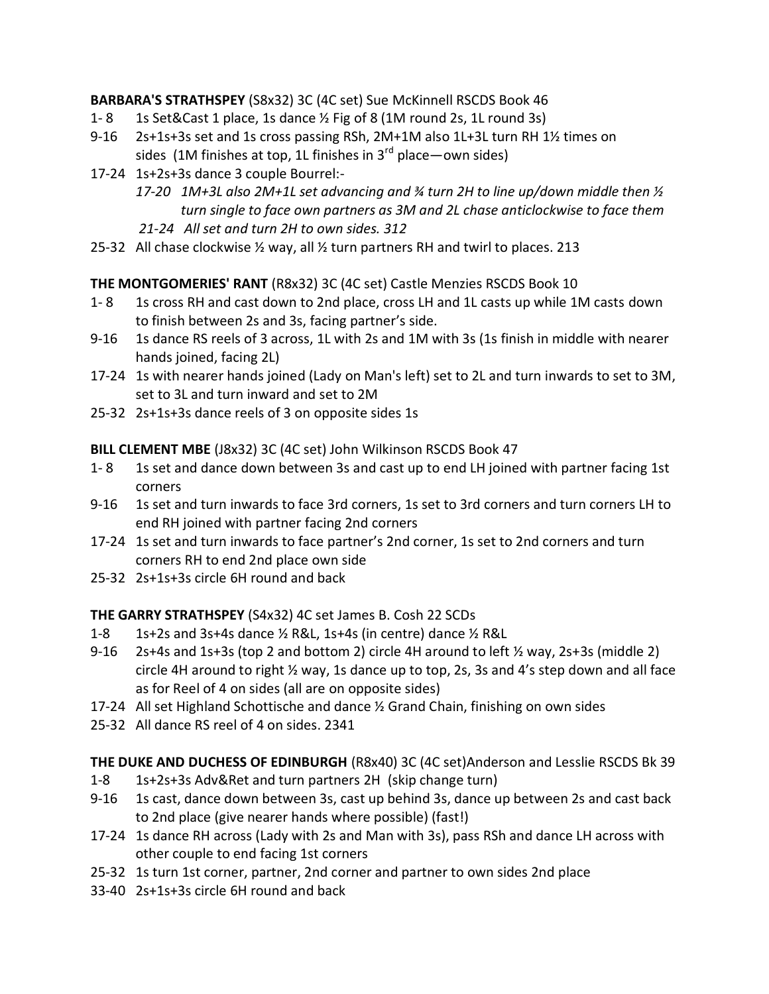**BARBARA'S STRATHSPEY** (S8x32) 3C (4C set) Sue McKinnell RSCDS Book 46

- 1-8 1s Set&Cast 1 place, 1s dance 1/2 Fig of 8 (1M round 2s, 1L round 3s)
- 9-16 2s+1s+3s set and 1s cross passing RSh, 2M+1M also 1L+3L turn RH 1½ times on sides (1M finishes at top, 1L finishes in  $3<sup>rd</sup>$  place—own sides)
- 17-24 1s+2s+3s dance 3 couple Bourrel:-
	- *17-20 1M+3L also 2M+1L set advancing and ¾ turn 2H to line up/down middle then ½ turn single to face own partners as 3M and 2L chase anticlockwise to face them 21-24 All set and turn 2H to own sides. 312*
- 25-32 All chase clockwise ½ way, all ½ turn partners RH and twirl to places. 213

**THE MONTGOMERIES' RANT** (R8x32) 3C (4C set) Castle Menzies RSCDS Book 10

- 1- 8 1s cross RH and cast down to 2nd place, cross LH and 1L casts up while 1M casts down to finish between 2s and 3s, facing partner's side.
- 9-16 1s dance RS reels of 3 across, 1L with 2s and 1M with 3s (1s finish in middle with nearer hands joined, facing 2L)
- 17-24 1s with nearer hands joined (Lady on Man's left) set to 2L and turn inwards to set to 3M, set to 3L and turn inward and set to 2M
- 25-32 2s+1s+3s dance reels of 3 on opposite sides 1s

**BILL CLEMENT MBE** (J8x32) 3C (4C set) John Wilkinson RSCDS Book 47

- 1- 8 1s set and dance down between 3s and cast up to end LH joined with partner facing 1st corners
- 9-16 1s set and turn inwards to face 3rd corners, 1s set to 3rd corners and turn corners LH to end RH joined with partner facing 2nd corners
- 17-24 1s set and turn inwards to face partner's 2nd corner, 1s set to 2nd corners and turn corners RH to end 2nd place own side
- 25-32 2s+1s+3s circle 6H round and back

**THE GARRY STRATHSPEY** (S4x32) 4C set James B. Cosh 22 SCDs

- 1-8 1s+2s and 3s+4s dance ½ R&L, 1s+4s (in centre) dance ½ R&L
- 9-16 2s+4s and 1s+3s (top 2 and bottom 2) circle 4H around to left  $\frac{1}{2}$  way, 2s+3s (middle 2) circle 4H around to right ½ way, 1s dance up to top, 2s, 3s and 4's step down and all face as for Reel of 4 on sides (all are on opposite sides)
- 17-24 All set Highland Schottische and dance ½ Grand Chain, finishing on own sides
- 25-32 All dance RS reel of 4 on sides. 2341

**THE DUKE AND DUCHESS OF EDINBURGH** (R8x40) 3C (4C set)Anderson and Lesslie RSCDS Bk 39

- 1-8 1s+2s+3s Adv&Ret and turn partners 2H (skip change turn)
- 9-16 1s cast, dance down between 3s, cast up behind 3s, dance up between 2s and cast back to 2nd place (give nearer hands where possible) (fast!)
- 17-24 1s dance RH across (Lady with 2s and Man with 3s), pass RSh and dance LH across with other couple to end facing 1st corners
- 25-32 1s turn 1st corner, partner, 2nd corner and partner to own sides 2nd place
- 33-40 2s+1s+3s circle 6H round and back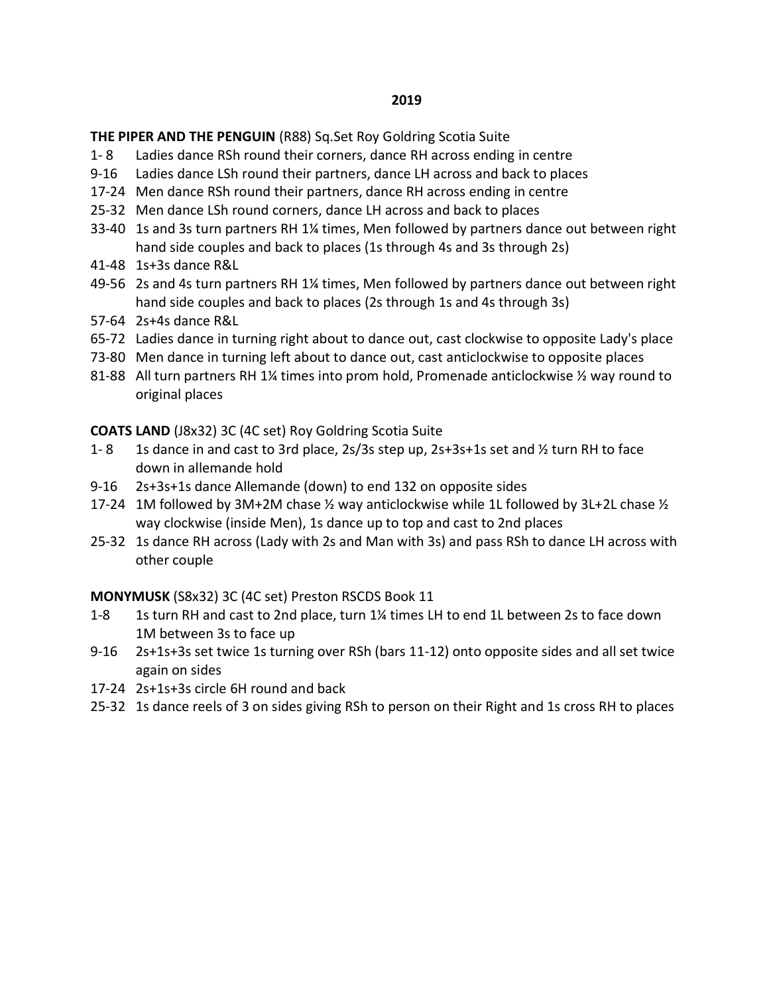**THE PIPER AND THE PENGUIN** (R88) Sq.Set Roy Goldring Scotia Suite

- 1- 8 Ladies dance RSh round their corners, dance RH across ending in centre
- 9-16 Ladies dance LSh round their partners, dance LH across and back to places
- 17-24 Men dance RSh round their partners, dance RH across ending in centre
- 25-32 Men dance LSh round corners, dance LH across and back to places
- 33-40 1s and 3s turn partners RH 1¼ times, Men followed by partners dance out between right hand side couples and back to places (1s through 4s and 3s through 2s)
- 41-48 1s+3s dance R&L
- 49-56 2s and 4s turn partners RH 1¼ times, Men followed by partners dance out between right hand side couples and back to places (2s through 1s and 4s through 3s)
- 57-64 2s+4s dance R&L
- 65-72 Ladies dance in turning right about to dance out, cast clockwise to opposite Lady's place
- 73-80 Men dance in turning left about to dance out, cast anticlockwise to opposite places
- 81-88 All turn partners RH 1¼ times into prom hold, Promenade anticlockwise 1/2 way round to original places

**COATS LAND** (J8x32) 3C (4C set) Roy Goldring Scotia Suite

- 1- 8 1s dance in and cast to 3rd place, 2s/3s step up, 2s+3s+1s set and  $\frac{1}{2}$  turn RH to face down in allemande hold
- 9-16 2s+3s+1s dance Allemande (down) to end 132 on opposite sides
- 17-24 1M followed by 3M+2M chase ½ way anticlockwise while 1L followed by 3L+2L chase ½ way clockwise (inside Men), 1s dance up to top and cast to 2nd places
- 25-32 1s dance RH across (Lady with 2s and Man with 3s) and pass RSh to dance LH across with other couple

**MONYMUSK** (S8x32) 3C (4C set) Preston RSCDS Book 11

- 1-8 1s turn RH and cast to 2nd place, turn 1¼ times LH to end 1L between 2s to face down 1M between 3s to face up
- 9-16 2s+1s+3s set twice 1s turning over RSh (bars 11-12) onto opposite sides and all set twice again on sides
- 17-24 2s+1s+3s circle 6H round and back
- 25-32 1s dance reels of 3 on sides giving RSh to person on their Right and 1s cross RH to places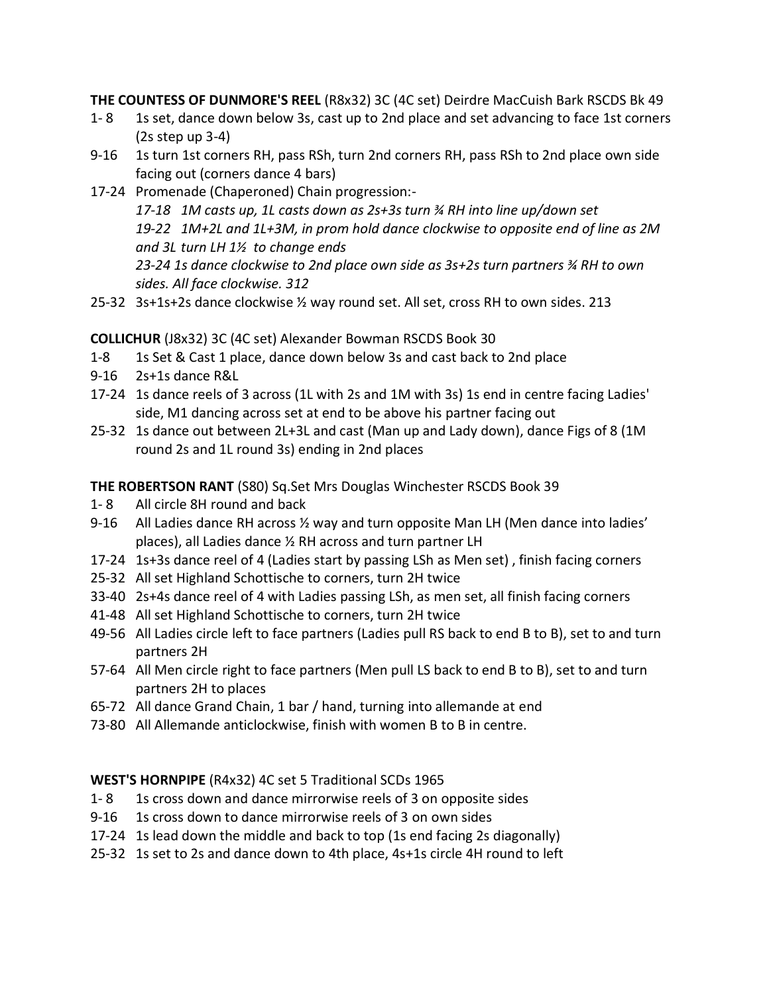**THE COUNTESS OF DUNMORE'S REEL** (R8x32) 3C (4C set) Deirdre MacCuish Bark RSCDS Bk 49

- 1-8 1s set, dance down below 3s, cast up to 2nd place and set advancing to face 1st corners (2s step up 3-4)
- 9-16 1s turn 1st corners RH, pass RSh, turn 2nd corners RH, pass RSh to 2nd place own side facing out (corners dance 4 bars)
- 17-24 Promenade (Chaperoned) Chain progression:-

 *17-18 1M casts up, 1L casts down as 2s+3s turn ¾ RH into line up/down set 19-22 1M+2L and 1L+3M, in prom hold dance clockwise to opposite end of line as 2M and 3L turn LH 1½ to change ends 23-24 1s dance clockwise to 2nd place own side as 3s+2s turn partners ¾ RH to own sides. All face clockwise. 312*

25-32 3s+1s+2s dance clockwise ½ way round set. All set, cross RH to own sides. 213

**COLLICHUR** (J8x32) 3C (4C set) Alexander Bowman RSCDS Book 30

- 1-8 1s Set & Cast 1 place, dance down below 3s and cast back to 2nd place
- 9-16 2s+1s dance R&L
- 17-24 1s dance reels of 3 across (1L with 2s and 1M with 3s) 1s end in centre facing Ladies' side, M1 dancing across set at end to be above his partner facing out
- 25-32 1s dance out between 2L+3L and cast (Man up and Lady down), dance Figs of 8 (1M round 2s and 1L round 3s) ending in 2nd places

**THE ROBERTSON RANT** (S80) Sq.Set Mrs Douglas Winchester RSCDS Book 39

- 1- 8 All circle 8H round and back
- 9-16 All Ladies dance RH across ½ way and turn opposite Man LH (Men dance into ladies' places), all Ladies dance ½ RH across and turn partner LH
- 17-24 1s+3s dance reel of 4 (Ladies start by passing LSh as Men set) , finish facing corners
- 25-32 All set Highland Schottische to corners, turn 2H twice
- 33-40 2s+4s dance reel of 4 with Ladies passing LSh, as men set, all finish facing corners
- 41-48 All set Highland Schottische to corners, turn 2H twice
- 49-56 All Ladies circle left to face partners (Ladies pull RS back to end B to B), set to and turn partners 2H
- 57-64 All Men circle right to face partners (Men pull LS back to end B to B), set to and turn partners 2H to places
- 65-72 All dance Grand Chain, 1 bar / hand, turning into allemande at end
- 73-80 All Allemande anticlockwise, finish with women B to B in centre.

# **WEST'S HORNPIPE** (R4x32) 4C set 5 Traditional SCDs 1965

- 1- 8 1s cross down and dance mirrorwise reels of 3 on opposite sides
- 9-16 1s cross down to dance mirrorwise reels of 3 on own sides
- 17-24 1s lead down the middle and back to top (1s end facing 2s diagonally)
- 25-32 1s set to 2s and dance down to 4th place, 4s+1s circle 4H round to left